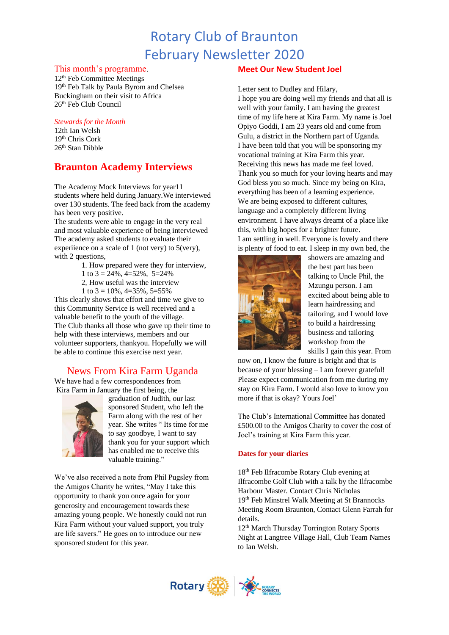# Rotary Club of Braunton February Newsletter 2020

#### This month's programme.

12<sup>th</sup> Feb Committee Meetings 19th Feb Talk by Paula Byrom and Chelsea Buckingham on their visit to Africa  $26<sup>th</sup>$  Feb Club Council

#### *Stewards for the Month*

12th Ian Welsh 19th Chris Cork 26th Stan Dibble

# **Braunton Academy Interviews**

The Academy Mock Interviews for year11 students where held during January.We interviewed over 130 students. The feed back from the academy has been very positive.

The students were able to engage in the very real and most valuable experience of being interviewed The academy asked students to evaluate their experiience on a scale of 1 (not very) to 5(very), with 2 questions,

- 1. How prepared were they for interview,
- 1 to  $3 = 24\%$ ,  $4 = 52\%$ ,  $5 = 24\%$
- 2, H[ow useful](https://creativecommons.org/licenses/by-sa/3.0/) was the interview
- 1 to  $3 = 10\%$ ,  $4 = 35\%$ ,  $5 = 55\%$

This clearly shows that effort and time we give to this Community Service is well received and a valuable benefit to the youth of the village. The Club thanks all those who gave up their time to help with these interviews, members and our volunteer supporters, thankyou. Hopefully we will be able to continue this exercise next year.

## News From Kira Farm Uganda

We have had a few correspondences from Kira Farm in January the first being, the



graduation of Judith, our last sponsored Student, who left the Farm along with the rest of her year. She writes " Its time for me to say goodbye, I want to say thank you for your support which has enabled me to receive this valuable training."

We've also received a note from Phil Pugsley from the Amigos Charity he writes, "May I take this opportunity to thank you once again for your generosity and encouragement towards these amazing young people. We honestly could not run Kira Farm without your valued support, you truly are life savers." He goes on to introduce our new sponsored student for this year.

### **Meet Our New Student Joel**

Letter sent to Dudley and Hilary,

I hope you are doing well my friends and that all is well with your family. I am having the greatest time of my life here at Kira Farm. My name is Joel Opiyo Goddi, I am 23 years old and come from Gulu, a district in the Northern part of Uganda. I have been told that you will be sponsoring my vocational training at Kira Farm this year. Receiving this news has made me feel loved. Thank you so much for your loving hearts and may God bless you so much. Since my being on Kira, everything has been of a learning experience. We are being exposed to different cultures, language and a completely different living environment. I have always dreamt of a place like this, with big hopes for a brighter future. I am settling in well. Everyone is lovely and there

is plenty of food to eat. I sleep in my own bed, the showers are amazing and the best part has been talking to Uncle Phil, the Mzungu person. I am excited about being able to learn hairdressing and tailoring, and I would love to build a hairdressing business and tailoring workshop from the skills I gain this year. From

now on, I know the future is bright and that is because of your blessing – I am forever grateful! Please expect communication from me during my stay on Kira Farm. I would also love to know you more if that is okay? Yours Joel'

The Club's International Committee has donated £500.00 to the Amigos Charity to cover the cost of Joel's training at Kira Farm this year.

#### **Dates for your diaries**

18th Feb Ilfracombe Rotary Club evening at Ilfracombe Golf Club with a talk by the Ilfracombe Harbour Master. Contact Chris Nicholas 19th Feb Minstrel Walk Meeting at St Brannocks Meeting Room Braunton, Contact Glenn Farrah for details.

12th March Thursday Torrington Rotary Sports Night at Langtree Village Hall, Club Team Names to Ian Welsh.